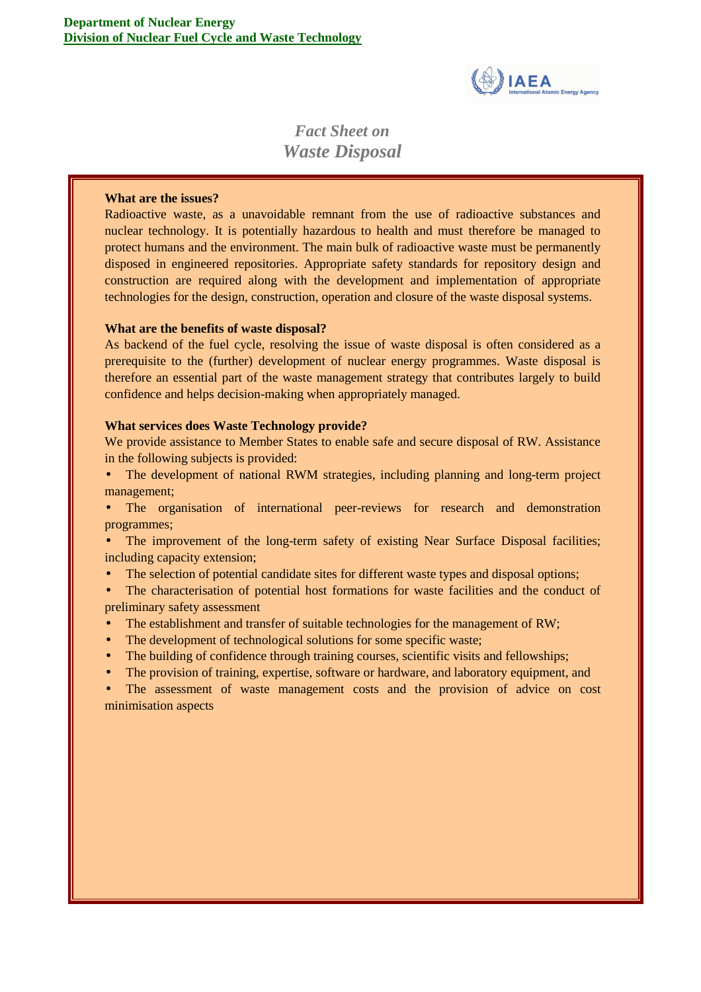

# *Fact Sheet on Waste Disposal*

## **What are the issues?**

Radioactive waste, as a unavoidable remnant from the use of radioactive substances and nuclear technology. It is potentially hazardous to health and must therefore be managed to protect humans and the environment. The main bulk of radioactive waste must be permanently disposed in engineered repositories. Appropriate safety standards for repository design and construction are required along with the development and implementation of appropriate technologies for the design, construction, operation and closure of the waste disposal systems.

## **What are the benefits of waste disposal?**

As backend of the fuel cycle, resolving the issue of waste disposal is often considered as a prerequisite to the (further) development of nuclear energy programmes. Waste disposal is therefore an essential part of the waste management strategy that contributes largely to build confidence and helps decision-making when appropriately managed.

### **What services does Waste Technology provide?**

We provide assistance to Member States to enable safe and secure disposal of RW. Assistance in the following subjects is provided:

- The development of national RWM strategies, including planning and long-term project management;
- The organisation of international peer-reviews for research and demonstration programmes;
- The improvement of the long-term safety of existing Near Surface Disposal facilities; including capacity extension;
- The selection of potential candidate sites for different waste types and disposal options;

• The characterisation of potential host formations for waste facilities and the conduct of preliminary safety assessment

- The establishment and transfer of suitable technologies for the management of RW;
- The development of technological solutions for some specific waste;
- The building of confidence through training courses, scientific visits and fellowships;
- The provision of training, expertise, software or hardware, and laboratory equipment, and

The assessment of waste management costs and the provision of advice on cost minimisation aspects